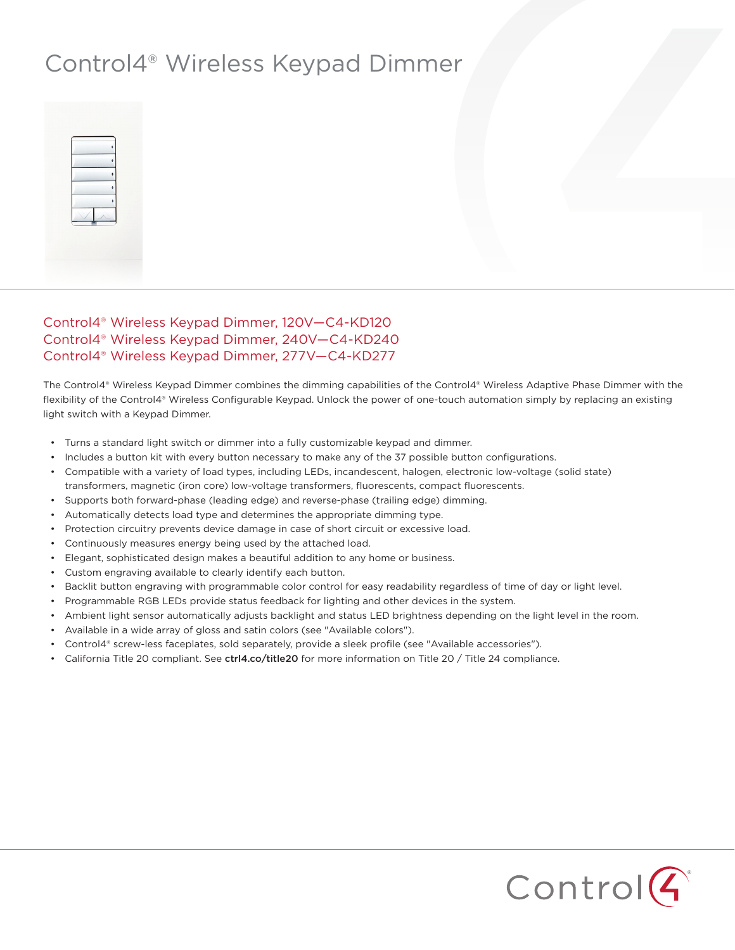## Control4® Wireless Keypad Dimmer



## Control4® Wireless Keypad Dimmer, 120V—C4-KD120 Control4® Wireless Keypad Dimmer, 240V—C4-KD240 Control4® Wireless Keypad Dimmer, 277V—C4-KD277

The Control4® Wireless Keypad Dimmer combines the dimming capabilities of the Control4® Wireless Adaptive Phase Dimmer with the flexibility of the Control4® Wireless Configurable Keypad. Unlock the power of one-touch automation simply by replacing an existing light switch with a Keypad Dimmer.

- Turns a standard light switch or dimmer into a fully customizable keypad and dimmer.
- Includes a button kit with every button necessary to make any of the 37 possible button configurations.
- Compatible with a variety of load types, including LEDs, incandescent, halogen, electronic low-voltage (solid state) transformers, magnetic (iron core) low-voltage transformers, fluorescents, compact fluorescents.
- Supports both forward-phase (leading edge) and reverse-phase (trailing edge) dimming.
- Automatically detects load type and determines the appropriate dimming type.
- Protection circuitry prevents device damage in case of short circuit or excessive load.
- Continuously measures energy being used by the attached load.
- Elegant, sophisticated design makes a beautiful addition to any home or business.
- Custom engraving available to clearly identify each button.
- Backlit button engraving with programmable color control for easy readability regardless of time of day or light level.
- Programmable RGB LEDs provide status feedback for lighting and other devices in the system.
- Ambient light sensor automatically adjusts backlight and status LED brightness depending on the light level in the room.
- Available in a wide array of gloss and satin colors (see "Available colors").
- Control4® screw-less faceplates, sold separately, provide a sleek profile (see "Available accessories").
- California Title 20 compliant. See ctrl4.co/title20 for more information on Title 20 / Title 24 compliance.

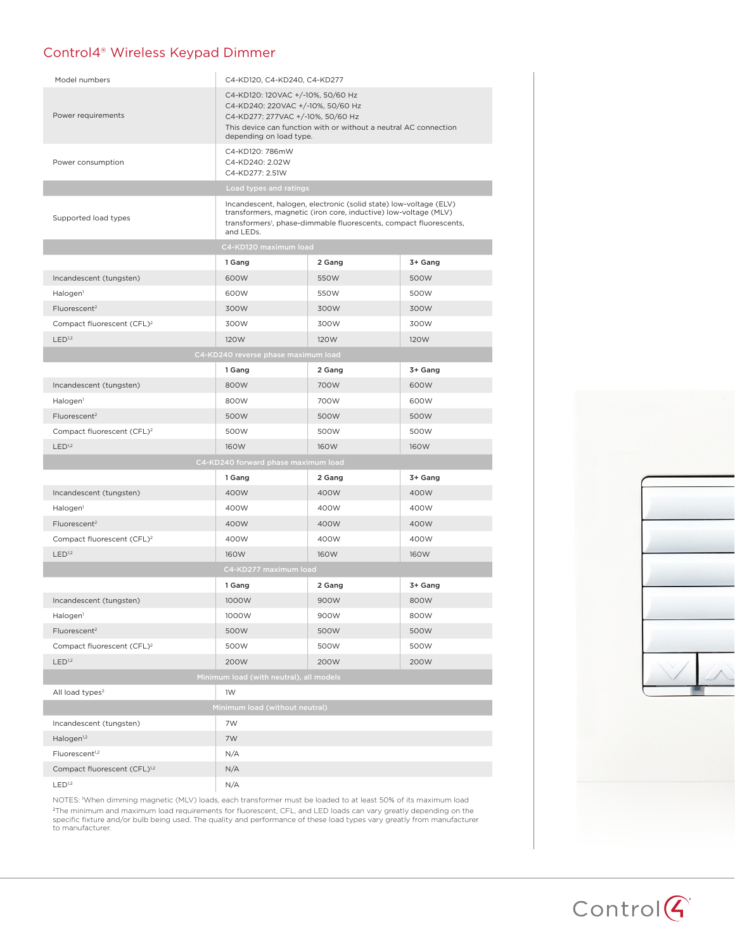## Control4® Wireless Keypad Dimmer

| Model numbers                            | C4-KD120, C4-KD240, C4-KD277                                                                                                                                                                                                        |        |         |  |
|------------------------------------------|-------------------------------------------------------------------------------------------------------------------------------------------------------------------------------------------------------------------------------------|--------|---------|--|
| Power requirements                       | C4-KD120: 120VAC +/-10%, 50/60 Hz<br>C4-KD240: 220VAC +/-10%, 50/60 Hz<br>C4-KD277: 277VAC +/-10%, 50/60 Hz<br>This device can function with or without a neutral AC connection<br>depending on load type.                          |        |         |  |
| Power consumption                        | C4-KD120: 786mW<br>C4-KD240: 2.02W<br>C4-KD277: 2.51W                                                                                                                                                                               |        |         |  |
| Load types and ratings                   |                                                                                                                                                                                                                                     |        |         |  |
| Supported load types                     | Incandescent, halogen, electronic (solid state) low-voltage (ELV)<br>transformers, magnetic (iron core, inductive) low-voltage (MLV)<br>transformers <sup>1</sup> , phase-dimmable fluorescents, compact fluorescents,<br>and LEDs. |        |         |  |
| C4-KD120 maximum load                    |                                                                                                                                                                                                                                     |        |         |  |
|                                          | 1 Gang                                                                                                                                                                                                                              | 2 Gang | 3+ Gang |  |
| Incandescent (tungsten)                  | 600W                                                                                                                                                                                                                                | 550W   | 500W    |  |
| Halogen <sup>1</sup>                     | 600W                                                                                                                                                                                                                                | 550W   | 500W    |  |
| Fluorescent <sup>2</sup>                 | 300W                                                                                                                                                                                                                                | 300W   | 300W    |  |
| Compact fluorescent (CFL) <sup>2</sup>   | 300W                                                                                                                                                                                                                                | 300W   | 300W    |  |
| LED <sup>1,2</sup>                       | 120W                                                                                                                                                                                                                                | 120W   | 120W    |  |
| C4-KD240 reverse phase maximum load      |                                                                                                                                                                                                                                     |        |         |  |
|                                          | 1 Gang                                                                                                                                                                                                                              | 2 Gang | 3+ Gang |  |
| Incandescent (tungsten)                  | 800W                                                                                                                                                                                                                                | 700W   | 600W    |  |
| Halogen <sup>1</sup>                     | 800W                                                                                                                                                                                                                                | 700W   | 600W    |  |
| Fluorescent <sup>2</sup>                 | 500W                                                                                                                                                                                                                                | 500W   | 500W    |  |
| Compact fluorescent (CFL) <sup>2</sup>   | 500W                                                                                                                                                                                                                                | 500W   | 500W    |  |
| LED <sup>1,2</sup>                       | 160W                                                                                                                                                                                                                                | 160W   | 160W    |  |
| C4-KD240 forward phase maximum load      |                                                                                                                                                                                                                                     |        |         |  |
|                                          | 1 Gang                                                                                                                                                                                                                              | 2 Gang | 3+ Gang |  |
| Incandescent (tungsten)                  | 400W                                                                                                                                                                                                                                | 400W   | 400W    |  |
| Halogen <sup>1</sup>                     | 400W                                                                                                                                                                                                                                | 400W   | 400W    |  |
| Fluorescent <sup>2</sup>                 | 400W                                                                                                                                                                                                                                | 400W   | 400W    |  |
| Compact fluorescent (CFL) <sup>2</sup>   | 400W                                                                                                                                                                                                                                | 400W   | 400W    |  |
| LED <sup>1,2</sup>                       | 160W                                                                                                                                                                                                                                | 160W   | 160W    |  |
| C4-KD277 maximum load                    |                                                                                                                                                                                                                                     |        |         |  |
|                                          | 1 Gang                                                                                                                                                                                                                              | 2 Gang | 3+ Gang |  |
| Incandescent (tungsten)                  | 1000W                                                                                                                                                                                                                               | 900W   | 800W    |  |
| Halogen <sup>1</sup>                     | 1000W                                                                                                                                                                                                                               | 900W   | 800W    |  |
| Fluorescent <sup>2</sup>                 | 500W                                                                                                                                                                                                                                | 500W   | 500W    |  |
| Compact fluorescent (CFL) <sup>2</sup>   | 500W                                                                                                                                                                                                                                | 500W   | 500W    |  |
| LED <sup>1,2</sup>                       | 200W                                                                                                                                                                                                                                | 200W   | 200W    |  |
| Minimum load (with neutral), all models  |                                                                                                                                                                                                                                     |        |         |  |
| All load types <sup>2</sup>              | 1W                                                                                                                                                                                                                                  |        |         |  |
| Minimum load (without neutral)           |                                                                                                                                                                                                                                     |        |         |  |
| Incandescent (tungsten)                  | 7W                                                                                                                                                                                                                                  |        |         |  |
| Halogen <sup>1,2</sup>                   | 7W                                                                                                                                                                                                                                  |        |         |  |
| Fluorescent <sup>1,2</sup>               | N/A                                                                                                                                                                                                                                 |        |         |  |
| Compact fluorescent (CFL) <sup>1,2</sup> | N/A                                                                                                                                                                                                                                 |        |         |  |
| LED <sup>1,2</sup>                       | N/A                                                                                                                                                                                                                                 |        |         |  |

NOTES: <sup>1</sup> When dimming magnetic (MLV) loads, each transformer must be loaded to at least 50% of its maximum load <sup>2</sup>The minimum and maximum load requirements for fluorescent, CFL, and LED loads can vary greatly depending on the<br>specific fixture and/or bulb being used. The quality and performance of these load types vary greatly from